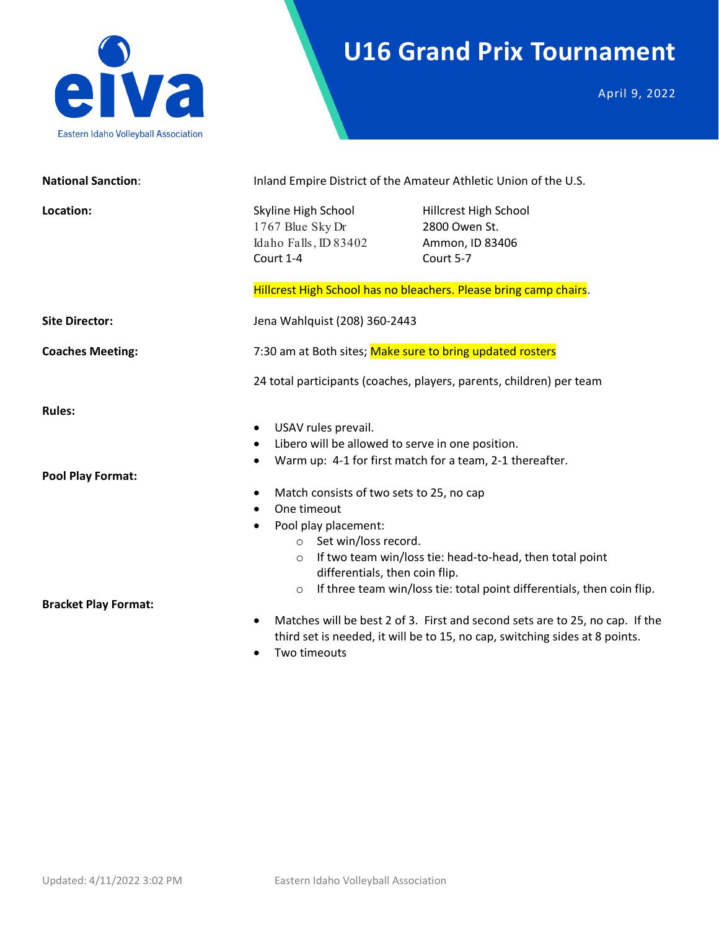

### **U16 Grand Prix Tournament**

April 9, 2022

| <b>National Sanction:</b>   | Inland Empire District of the Amateur Athletic Union of the U.S.                                                                                                                                                                                                                                                                                                                                                                                                                                   |                                                                                                                                                             |  |
|-----------------------------|----------------------------------------------------------------------------------------------------------------------------------------------------------------------------------------------------------------------------------------------------------------------------------------------------------------------------------------------------------------------------------------------------------------------------------------------------------------------------------------------------|-------------------------------------------------------------------------------------------------------------------------------------------------------------|--|
| Location:                   | Skyline High School<br>1767 Blue Sky Dr<br>Idaho Falls, ID 83402<br>Court 1-4                                                                                                                                                                                                                                                                                                                                                                                                                      | Hillcrest High School<br>2800 Owen St.<br>Ammon, ID 83406<br>Court 5-7<br>Hillcrest High School has no bleachers. Please bring camp chairs.                 |  |
| <b>Site Director:</b>       | Jena Wahlquist (208) 360-2443                                                                                                                                                                                                                                                                                                                                                                                                                                                                      |                                                                                                                                                             |  |
| <b>Coaches Meeting:</b>     | 7:30 am at Both sites; Make sure to bring updated rosters<br>24 total participants (coaches, players, parents, children) per team                                                                                                                                                                                                                                                                                                                                                                  |                                                                                                                                                             |  |
|                             |                                                                                                                                                                                                                                                                                                                                                                                                                                                                                                    |                                                                                                                                                             |  |
| <b>Rules:</b>               |                                                                                                                                                                                                                                                                                                                                                                                                                                                                                                    |                                                                                                                                                             |  |
| <b>Pool Play Format:</b>    | USAV rules prevail.<br>$\bullet$<br>Libero will be allowed to serve in one position.<br>Warm up: 4-1 for first match for a team, 2-1 thereafter.<br>$\bullet$<br>Match consists of two sets to 25, no cap<br>One timeout<br>$\bullet$<br>Pool play placement:<br>$\bullet$<br>○ Set win/loss record.<br>If two team win/loss tie: head-to-head, then total point<br>$\circ$<br>differentials, then coin flip.<br>If three team win/loss tie: total point differentials, then coin flip.<br>$\circ$ |                                                                                                                                                             |  |
| <b>Bracket Play Format:</b> | $\bullet$<br>Two timeouts                                                                                                                                                                                                                                                                                                                                                                                                                                                                          | Matches will be best 2 of 3. First and second sets are to 25, no cap. If the<br>third set is needed, it will be to 15, no cap, switching sides at 8 points. |  |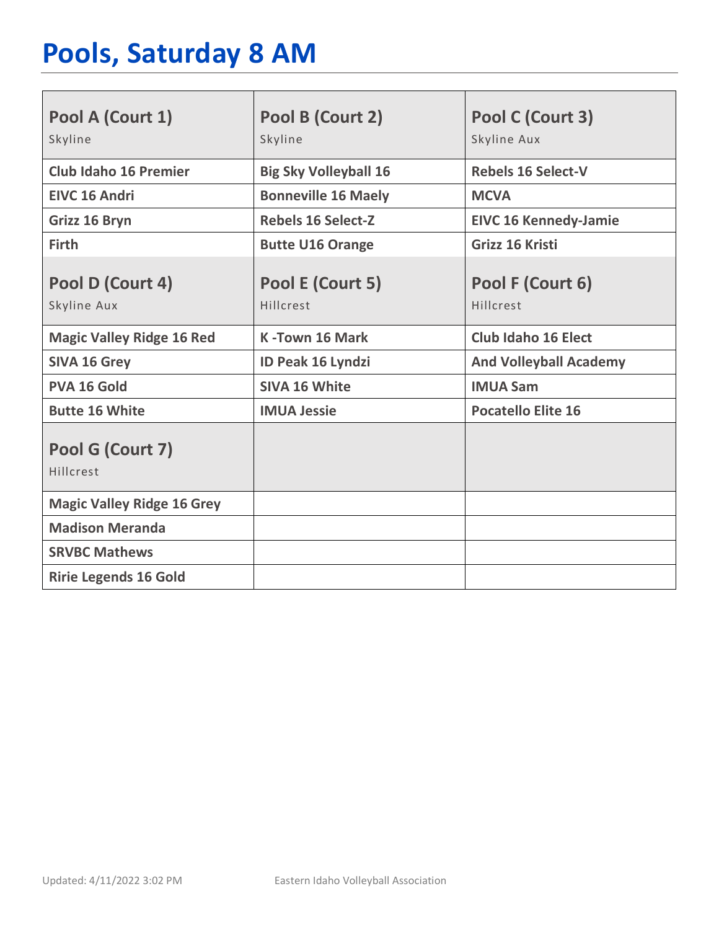# **Pools, Saturday 8 AM**

| Pool A (Court 1)<br>Skyline       | Pool B (Court 2)<br>Skyline   | Pool C (Court 3)<br>Skyline Aux |
|-----------------------------------|-------------------------------|---------------------------------|
|                                   |                               |                                 |
| <b>Club Idaho 16 Premier</b>      | <b>Big Sky Volleyball 16</b>  | <b>Rebels 16 Select-V</b>       |
| <b>EIVC 16 Andri</b>              | <b>Bonneville 16 Maely</b>    | <b>MCVA</b>                     |
| Grizz 16 Bryn                     | <b>Rebels 16 Select-Z</b>     | <b>EIVC 16 Kennedy-Jamie</b>    |
| <b>Firth</b>                      | <b>Butte U16 Orange</b>       | Grizz 16 Kristi                 |
| Pool D (Court 4)<br>Skyline Aux   | Pool E (Court 5)<br>Hillcrest | Pool F (Court 6)<br>Hillcrest   |
| <b>Magic Valley Ridge 16 Red</b>  | <b>K-Town 16 Mark</b>         | <b>Club Idaho 16 Elect</b>      |
| <b>SIVA 16 Grey</b>               | <b>ID Peak 16 Lyndzi</b>      | <b>And Volleyball Academy</b>   |
| <b>PVA 16 Gold</b>                | <b>SIVA 16 White</b>          | <b>IMUA Sam</b>                 |
| <b>Butte 16 White</b>             | <b>IMUA Jessie</b>            | <b>Pocatello Elite 16</b>       |
| Pool G (Court 7)<br>Hillcrest     |                               |                                 |
| <b>Magic Valley Ridge 16 Grey</b> |                               |                                 |
| <b>Madison Meranda</b>            |                               |                                 |
| <b>SRVBC Mathews</b>              |                               |                                 |
| <b>Ririe Legends 16 Gold</b>      |                               |                                 |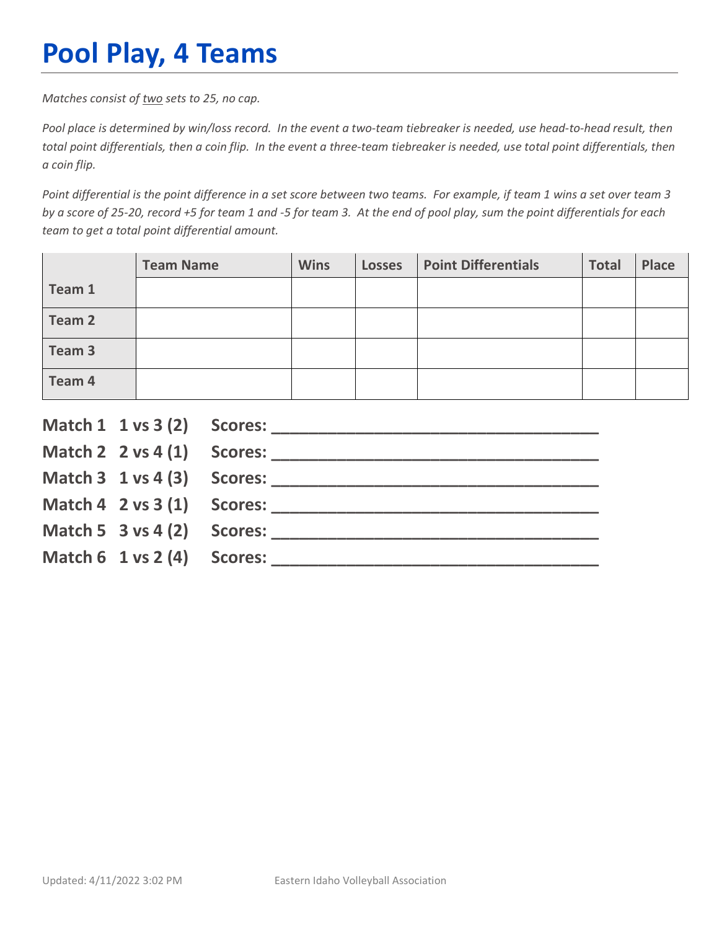# **Pool Play, 4 Teams**

*Matches consist of two sets to 25, no cap.*

*Pool place is determined by win/loss record. In the event a two-team tiebreaker is needed, use head-to-head result, then total point differentials, then a coin flip. In the event a three-team tiebreaker is needed, use total point differentials, then a coin flip.*

*Point differential is the point difference in a set score between two teams. For example, if team 1 wins a set over team 3 by a score of 25-20, record +5 for team 1 and -5 for team 3. At the end of pool play, sum the point differentials for each team to get a total point differential amount.* 

|        | <b>Team Name</b> | <b>Wins</b> | <b>Losses</b> | <b>Point Differentials</b> | <b>Total</b> | Place |
|--------|------------------|-------------|---------------|----------------------------|--------------|-------|
| Team 1 |                  |             |               |                            |              |       |
| Team 2 |                  |             |               |                            |              |       |
| Team 3 |                  |             |               |                            |              |       |
| Team 4 |                  |             |               |                            |              |       |

|                                        | Match $2 \times 4(1)$ Scores:              |
|----------------------------------------|--------------------------------------------|
|                                        |                                            |
|                                        | Match $4 \quad 2 \text{ vs } 3(1)$ Scores: |
| Match 5 $3$ vs 4 (2) Scores:           |                                            |
| Match $6 \t1 \text{ vs } 2(4)$ Scores: |                                            |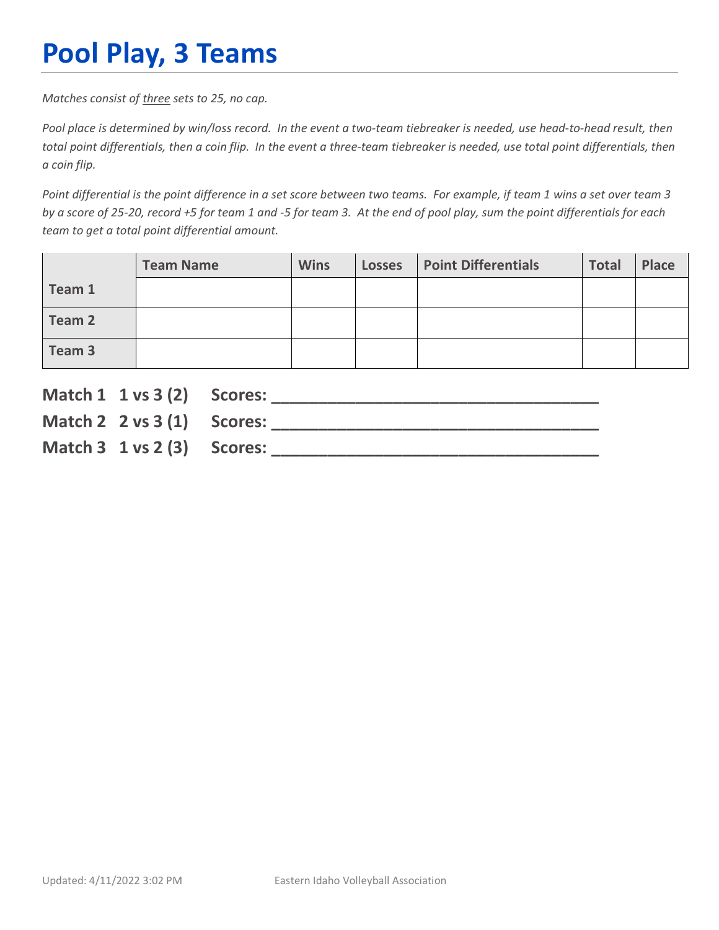# **Pool Play, 3 Teams**

*Matches consist of three sets to 25, no cap.*

*Pool place is determined by win/loss record. In the event a two-team tiebreaker is needed, use head-to-head result, then total point differentials, then a coin flip. In the event a three-team tiebreaker is needed, use total point differentials, then a coin flip.*

*Point differential is the point difference in a set score between two teams. For example, if team 1 wins a set over team 3 by a score of 25-20, record +5 for team 1 and -5 for team 3. At the end of pool play, sum the point differentials for each team to get a total point differential amount.* 

|        | <b>Team Name</b> | <b>Wins</b> | <b>Losses</b> | <b>Point Differentials</b> | <b>Total</b> | Place |
|--------|------------------|-------------|---------------|----------------------------|--------------|-------|
| Team 1 |                  |             |               |                            |              |       |
| Team 2 |                  |             |               |                            |              |       |
| Team 3 |                  |             |               |                            |              |       |

| Match 1 1 vs 3 (2) Scores:             |  |
|----------------------------------------|--|
| Match 2 $2 \text{ vs } 3(1)$ Scores:   |  |
| Match $3 \t1 \text{ vs } 2(3)$ Scores: |  |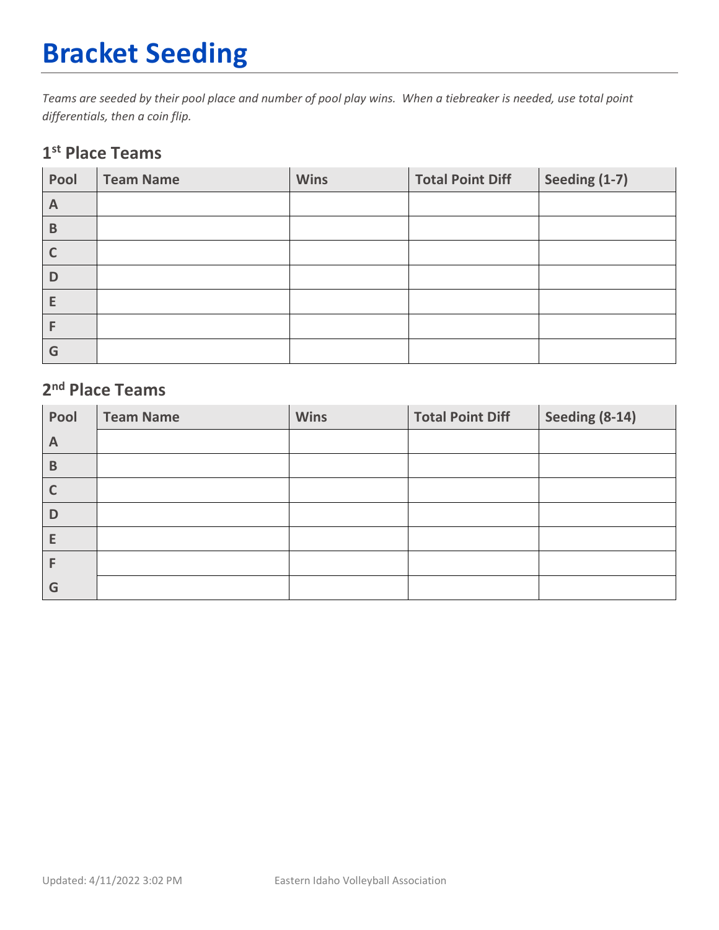# **Bracket Seeding**

*Teams are seeded by their pool place and number of pool play wins. When a tiebreaker is needed, use total point differentials, then a coin flip.*

#### **1st Place Teams**

| Pool         | <b>Team Name</b> | <b>Wins</b> | <b>Total Point Diff</b> | Seeding (1-7) |
|--------------|------------------|-------------|-------------------------|---------------|
| $\mathsf{A}$ |                  |             |                         |               |
| $\mathsf B$  |                  |             |                         |               |
| $\mathsf{C}$ |                  |             |                         |               |
| D            |                  |             |                         |               |
| E            |                  |             |                         |               |
|              |                  |             |                         |               |
| G            |                  |             |                         |               |

#### **2nd Place Teams**

| Pool | <b>Team Name</b> | <b>Wins</b> | <b>Total Point Diff</b> | Seeding (8-14) |
|------|------------------|-------------|-------------------------|----------------|
| A    |                  |             |                         |                |
| B    |                  |             |                         |                |
|      |                  |             |                         |                |
| D    |                  |             |                         |                |
| E    |                  |             |                         |                |
|      |                  |             |                         |                |
| G    |                  |             |                         |                |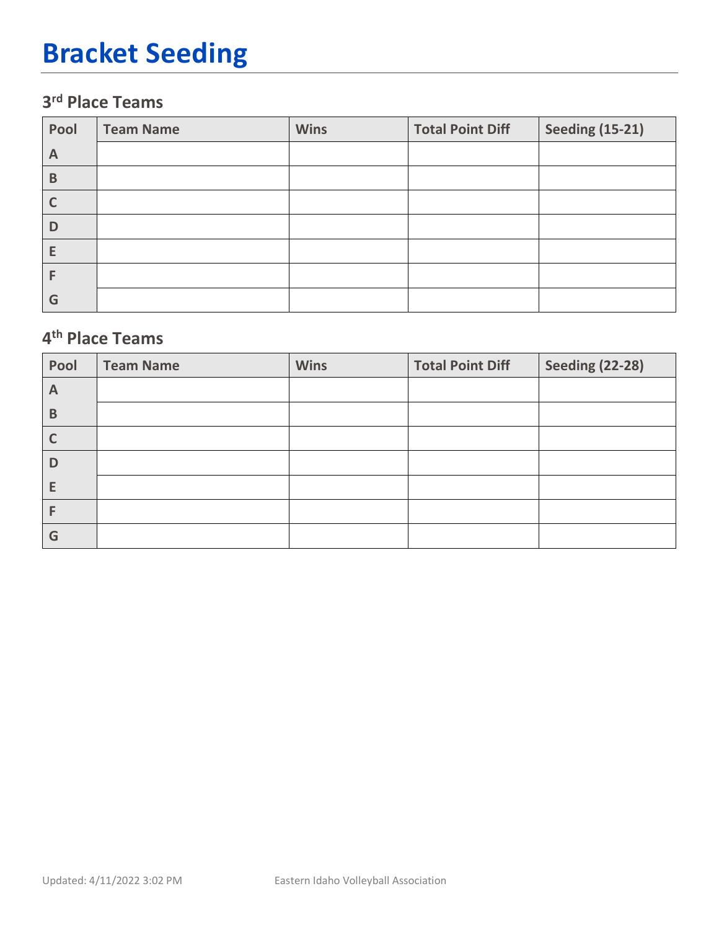# **Bracket Seeding**

### **3rd Place Teams**

| Pool | <b>Team Name</b> | <b>Wins</b> | <b>Total Point Diff</b> | <b>Seeding (15-21)</b> |
|------|------------------|-------------|-------------------------|------------------------|
| A    |                  |             |                         |                        |
| B    |                  |             |                         |                        |
|      |                  |             |                         |                        |
| D    |                  |             |                         |                        |
| Е    |                  |             |                         |                        |
|      |                  |             |                         |                        |
| G    |                  |             |                         |                        |

### **4th Place Teams**

| Pool         | <b>Team Name</b> | <b>Wins</b> | <b>Total Point Diff</b> | <b>Seeding (22-28)</b> |
|--------------|------------------|-------------|-------------------------|------------------------|
| $\mathsf{A}$ |                  |             |                         |                        |
| B            |                  |             |                         |                        |
| C            |                  |             |                         |                        |
| D            |                  |             |                         |                        |
| E            |                  |             |                         |                        |
| F            |                  |             |                         |                        |
| G            |                  |             |                         |                        |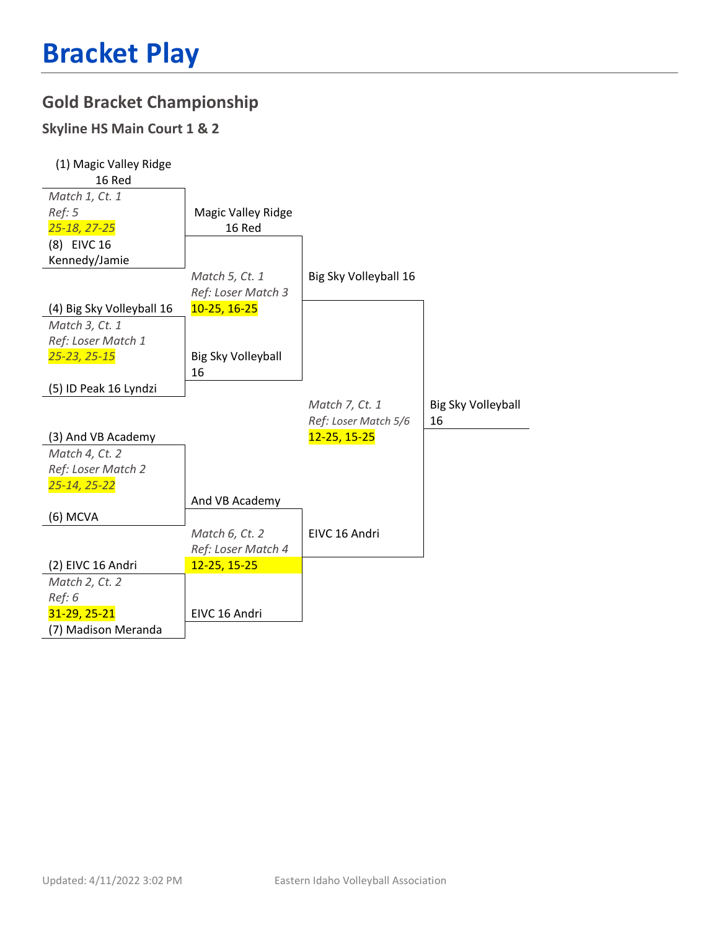#### **Gold Bracket Championship**

#### **Skyline HS Main Court 1 & 2**

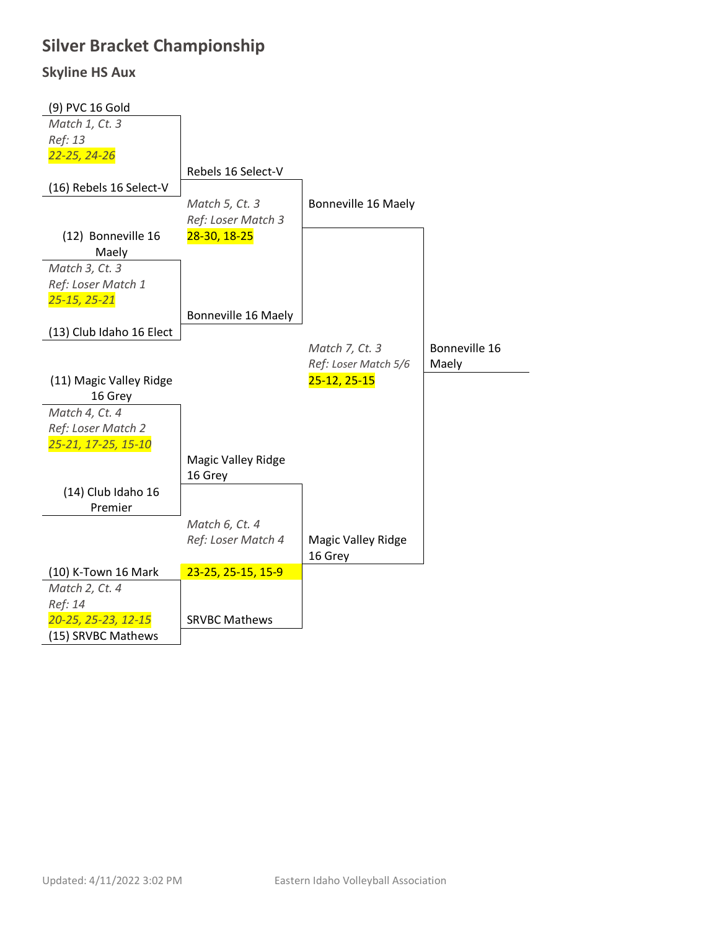### **Silver Bracket Championship**

#### **Skyline HS Aux**

| (9) PVC 16 Gold                           |                           |                           |               |
|-------------------------------------------|---------------------------|---------------------------|---------------|
| Match 1, Ct. 3                            |                           |                           |               |
| Ref: 13                                   |                           |                           |               |
| 22-25, 24-26                              |                           |                           |               |
|                                           | Rebels 16 Select-V        |                           |               |
| (16) Rebels 16 Select-V                   |                           |                           |               |
|                                           | Match 5, Ct. 3            | Bonneville 16 Maely       |               |
|                                           | Ref: Loser Match 3        |                           |               |
| (12) Bonneville 16                        | 28-30, 18-25              |                           |               |
| Maely                                     |                           |                           |               |
| Match 3, Ct. 3                            |                           |                           |               |
| Ref: Loser Match 1                        |                           |                           |               |
| $25 - 15, 25 - 21$                        |                           |                           |               |
|                                           | Bonneville 16 Maely       |                           |               |
| (13) Club Idaho 16 Elect                  |                           |                           |               |
|                                           |                           | Match 7, Ct. 3            | Bonneville 16 |
|                                           |                           | Ref: Loser Match 5/6      | Maely         |
| (11) Magic Valley Ridge                   |                           | 25-12, 25-15              |               |
| 16 Grey                                   |                           |                           |               |
| Match 4, Ct. 4                            |                           |                           |               |
| Ref: Loser Match 2                        |                           |                           |               |
|                                           |                           |                           |               |
| 25-21, 17-25, 15-10                       |                           |                           |               |
|                                           | <b>Magic Valley Ridge</b> |                           |               |
|                                           | 16 Grey                   |                           |               |
| (14) Club Idaho 16                        |                           |                           |               |
| Premier                                   |                           |                           |               |
|                                           | Match 6, Ct. 4            |                           |               |
|                                           | Ref: Loser Match 4        | <b>Magic Valley Ridge</b> |               |
|                                           |                           | 16 Grey                   |               |
| (10) K-Town 16 Mark                       | 23-25, 25-15, 15-9        |                           |               |
| Match 2, Ct. 4                            |                           |                           |               |
| Ref: 14                                   |                           |                           |               |
| 20-25, 25-23, 12-15<br>(15) SRVBC Mathews | <b>SRVBC Mathews</b>      |                           |               |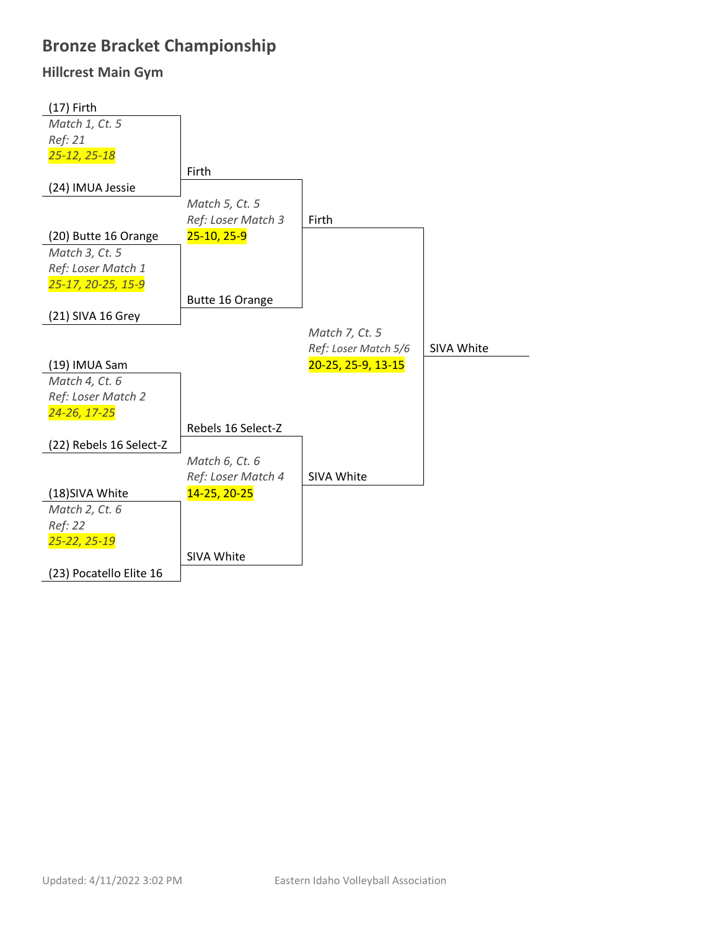### **Bronze Bracket Championship**

#### **Hillcrest Main Gym**

| $(17)$ Firth            |                    |                      |            |
|-------------------------|--------------------|----------------------|------------|
| Match 1, Ct. 5          |                    |                      |            |
| Ref: 21                 |                    |                      |            |
| 25-12, 25-18            |                    |                      |            |
|                         | Firth              |                      |            |
| (24) IMUA Jessie        |                    |                      |            |
|                         | Match 5, Ct. 5     |                      |            |
|                         | Ref: Loser Match 3 | Firth                |            |
| (20) Butte 16 Orange    | 25-10, 25-9        |                      |            |
| Match 3, Ct. 5          |                    |                      |            |
| Ref: Loser Match 1      |                    |                      |            |
| 25-17, 20-25, 15-9      |                    |                      |            |
|                         | Butte 16 Orange    |                      |            |
| (21) SIVA 16 Grey       |                    |                      |            |
|                         |                    | Match 7, Ct. 5       |            |
|                         |                    | Ref: Loser Match 5/6 | SIVA White |
| (19) IMUA Sam           |                    | 20-25, 25-9, 13-15   |            |
| Match 4, Ct. 6          |                    |                      |            |
| Ref: Loser Match 2      |                    |                      |            |
| 24-26, 17-25            |                    |                      |            |
|                         | Rebels 16 Select-Z |                      |            |
| (22) Rebels 16 Select-Z |                    |                      |            |
|                         | Match 6, Ct. 6     |                      |            |
|                         | Ref: Loser Match 4 | SIVA White           |            |
| (18)SIVA White          | 14-25, 20-25       |                      |            |
| Match 2, Ct. 6          |                    |                      |            |
| Ref: 22                 |                    |                      |            |
| 25-22, 25-19            |                    |                      |            |
|                         | SIVA White         |                      |            |
| (23) Pocatello Elite 16 |                    |                      |            |